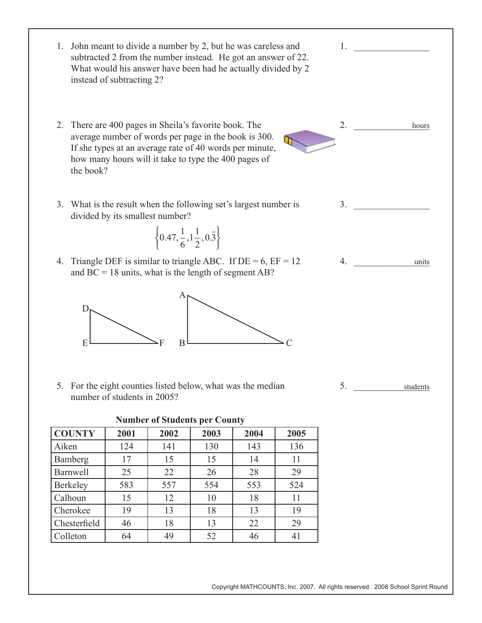1.  $\blacksquare$  $2. \qquad \qquad$  $3.$ 4. \_\_\_\_\_\_\_\_\_\_\_\_\_\_\_\_ 5. \_\_\_\_\_\_\_\_\_\_\_\_\_\_\_\_ hours 1. John meant to divide a number by 2, but he was careless and subtracted 2 from the number instead. He got an answer of 22. What would his answer have been had he actually divided by 2 instead of subtracting 2? 2. There are 400 pages in Sheila's favorite book. The average number of words per page in the book is 300. If she types at an average rate of 40 words per minute, how many hours will it take to type the 400 pages of the book? 3. What is the result when the following set's largest number is divided by its smallest number? 4. Triangle DEF is similar to triangle ABC. If  $DE = 6$ ,  $EF = 12$ and  $BC = 18$  units, what is the length of segment AB? 5. For the eight counties listed below, what was the median number of students in 2005? **Number of Students per County**  units **COUNTY 2001 2002 2003 2004 2005** students D  $E \longmapsto F$ A  $B \longmapsto C$  $0.47, \frac{1}{6}, 1\frac{1}{2}, 0.\overline{3}$  $\left\{0.47, \frac{1}{6}, 1\frac{1}{2}, 0.\overline{3}\right\}$ 

Aiken | 124 | 141 | 130 | 143 | 136 Bamberg 17 15 15 14 11 Barnwell 25 22 26 28 29 Berkeley | 583 | 557 | 554 | 553 | 524 Calhoun 15 12 10 18 11 Cherokee 1 19 1 13 1 18 1 13 1 19 Chesterfield 46 18 13 22 29 Colleton 64 49 52 46 41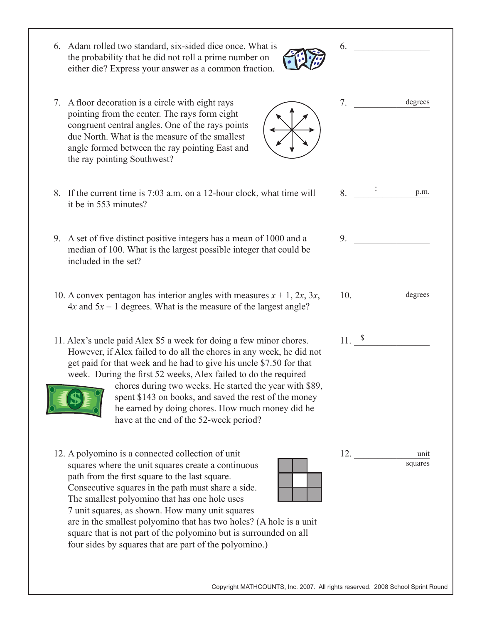- 6. Adam rolled two standard, six-sided dice once. What is the probability that he did not roll a prime number on either die? Express your answer as a common fraction.
- 7. A floor decoration is a circle with eight rays pointing from the center. The rays form eight congruent central angles. One of the rays points due North. What is the measure of the smallest angle formed between the ray pointing East and the ray pointing Southwest?
- 8. If the current time is 7:03 a.m. on a 12-hour clock, what time will it be in 553 minutes?
- 9. A set of five distinct positive integers has a mean of 1000 and a median of 100. What is the largest possible integer that could be included in the set?
- 10. A convex pentagon has interior angles with measures  $x + 1$ ,  $2x$ ,  $3x$ ,  $4x$  and  $5x - 1$  degrees. What is the measure of the largest angle?
- 11. Alex's uncle paid Alex \$5 a week for doing a few minor chores. However, if Alex failed to do all the chores in any week, he did not get paid for that week and he had to give his uncle \$7.50 for that week. During the first 52 weeks, Alex failed to do the required

chores during two weeks. He started the year with \$89, spent \$143 on books, and saved the rest of the money he earned by doing chores. How much money did he have at the end of the 52-week period?

12. A polyomino is a connected collection of unit squares where the unit squares create a continuous path from the first square to the last square. Consecutive squares in the path must share a side. The smallest polyomino that has one hole uses 7 unit squares, as shown. How many unit squares

are in the smallest polyomino that has two holes? (A hole is a unit square that is not part of the polyomino but is surrounded on all four sides by squares that are part of the polyomino.) 



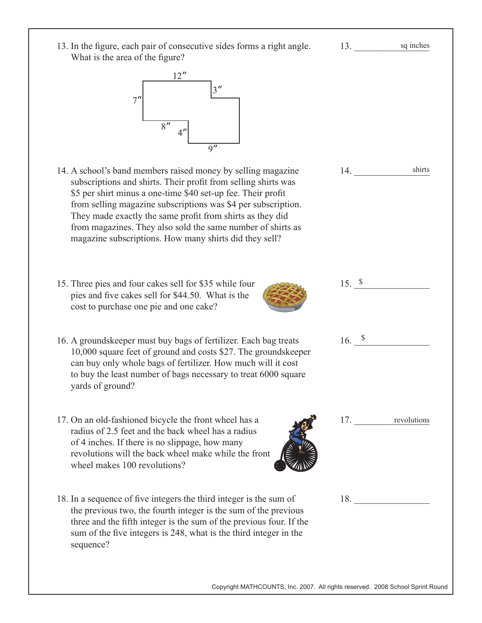| 13. In the figure, each pair of consecutive sides forms a right angle.<br>What is the area of the figure?                                                                                                                                                                                                                                                                                                                                             | 13.                    | sq inches       |
|-------------------------------------------------------------------------------------------------------------------------------------------------------------------------------------------------------------------------------------------------------------------------------------------------------------------------------------------------------------------------------------------------------------------------------------------------------|------------------------|-----------------|
| $3^{\prime\prime}$<br>8''<br>$\overline{Q''}$                                                                                                                                                                                                                                                                                                                                                                                                         |                        |                 |
| 14. A school's band members raised money by selling magazine<br>subscriptions and shirts. Their profit from selling shirts was<br>\$5 per shirt minus a one-time \$40 set-up fee. Their profit<br>from selling magazine subscriptions was \$4 per subscription.<br>They made exactly the same profit from shirts as they did<br>from magazines. They also sold the same number of shirts as<br>magazine subscriptions. How many shirts did they sell? | 14.                    | shirts          |
| 15. Three pies and four cakes sell for \$35 while four<br>pies and five cakes sell for \$44.50. What is the<br>cost to purchase one pie and one cake?                                                                                                                                                                                                                                                                                                 | $15. \text{ }^{\circ}$ |                 |
| 16. A groundskeeper must buy bags of fertilizer. Each bag treats<br>10,000 square feet of ground and costs \$27. The groundskeeper<br>can buy only whole bags of fertilizer. How much will it cost<br>to buy the least number of bags necessary to treat 6000 square<br>yards of ground?                                                                                                                                                              | 16. $\delta$           |                 |
| 17. On an old-fashioned bicycle the front wheel has a<br>radius of 2.5 feet and the back wheel has a radius<br>of 4 inches. If there is no slippage, how many<br>revolutions will the back wheel make while the front<br>wheel makes 100 revolutions?                                                                                                                                                                                                 |                        | 17. revolutions |
| 18. In a sequence of five integers the third integer is the sum of<br>the previous two, the fourth integer is the sum of the previous<br>three and the fifth integer is the sum of the previous four. If the<br>sum of the five integers is 248, what is the third integer in the<br>sequence?                                                                                                                                                        |                        | 18.             |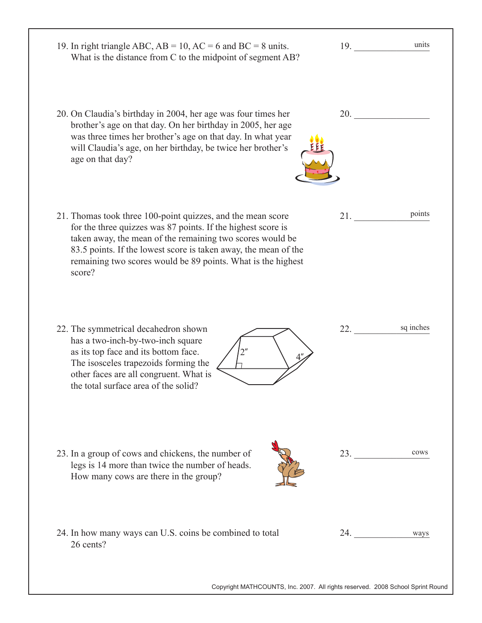| 19. In right triangle ABC, $AB = 10$ , $AC = 6$ and $BC = 8$ units.<br>What is the distance from C to the midpoint of segment AB?                                                                                                                                                                                                     | 19. | units     |
|---------------------------------------------------------------------------------------------------------------------------------------------------------------------------------------------------------------------------------------------------------------------------------------------------------------------------------------|-----|-----------|
| 20. On Claudia's birthday in 2004, her age was four times her<br>brother's age on that day. On her birthday in 2005, her age<br>was three times her brother's age on that day. In what year<br>will Claudia's age, on her birthday, be twice her brother's<br>age on that day?                                                        | 20. |           |
| 21. Thomas took three 100-point quizzes, and the mean score<br>for the three quizzes was 87 points. If the highest score is<br>taken away, the mean of the remaining two scores would be<br>83.5 points. If the lowest score is taken away, the mean of the<br>remaining two scores would be 89 points. What is the highest<br>score? | 21. | points    |
| 22. The symmetrical decahedron shown<br>has a two-inch-by-two-inch square<br>as its top face and its bottom face.<br>The isosceles trapezoids forming the<br>other faces are all congruent. What is<br>the total surface area of the solid?                                                                                           | 22. | sq inches |
| 23. In a group of cows and chickens, the number of<br>legs is 14 more than twice the number of heads.<br>How many cows are there in the group?                                                                                                                                                                                        | 23. | cows      |
| 24. In how many ways can U.S. coins be combined to total<br>26 cents?                                                                                                                                                                                                                                                                 | 24. | ways      |
| Copyright MATHCOUNTS, Inc. 2007. All rights reserved. 2008 School Sprint Round                                                                                                                                                                                                                                                        |     |           |